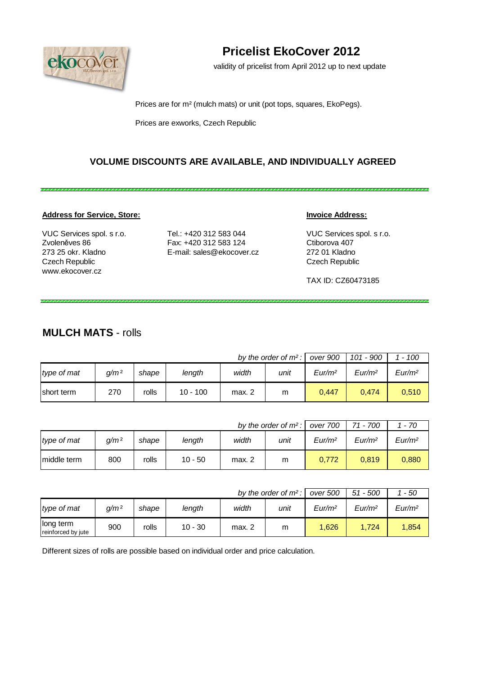

# **Pricelist EkoCover 2012**

validity of pricelist from April 2012 up to next update

Prices are for m² (mulch mats) or unit (pot tops, squares, EkoPegs).

Prices are exworks, Czech Republic

#### **VOLUME DISCOUNTS ARE AVAILABLE, AND INDIVIDUALLY AGREED**

#### **Address for Service, Store: Invoice Address:**

Czech Republic Czech Republic www.ekocover.cz

VUC Services spol. s r.o. Tel.: +420 312 583 044 VUC Services spol. s r.o. Zvoleněves 86 Fax: +420 312 583 124 Ctiborova 407 273 25 okr. Kladno E-mail: sales@ekocover.cz 272 01 Kladno

TAX ID: CZ60473185

,,,,,,,,,,,,,,,,,,,,,,,,,,,,,,,

#### **MULCH MATS** - rolls

| by the order of $m^2$ : |                  |       |            |        |      |                    | 101 - 900          | $-100$             |
|-------------------------|------------------|-------|------------|--------|------|--------------------|--------------------|--------------------|
| type of mat             | q/m <sup>2</sup> | shape | lenath     | width  | unit | Eur/m <sup>2</sup> | Eur/m <sup>2</sup> | Eur/m <sup>2</sup> |
| short term              | 270              | rolls | $10 - 100$ | max. 2 | m    | 0.447              | 0.474              | 0,510              |

|             |                  |       | by the order of $m^2$ : | over 700 | 71 - 700 | - 70               |                    |                    |
|-------------|------------------|-------|-------------------------|----------|----------|--------------------|--------------------|--------------------|
| type of mat | a/m <sup>2</sup> | shape | length                  | width    | unit     | Eur/m <sup>2</sup> | Eur/m <sup>2</sup> | Eur/m <sup>2</sup> |
| middle term | 800              | rolls | 10 - 50                 | max. 2   | m        | 0,772              | 0,819              | 0,880              |

|                                 |                  | by the order of $m^2$ : | over 500  | 51 - 500 | - 50 |                    |                    |                    |
|---------------------------------|------------------|-------------------------|-----------|----------|------|--------------------|--------------------|--------------------|
| type of mat                     | a/m <sup>2</sup> | shape                   | length    | width    | unit | Eur/m <sup>2</sup> | Eur/m <sup>2</sup> | Eur/m <sup>2</sup> |
| long term<br>reinforced by jute | 900              | rolls                   | $10 - 30$ | max. 2   | m    | 1.626              | 1,724              | 1,854              |

Different sizes of rolls are possible based on individual order and price calculation.